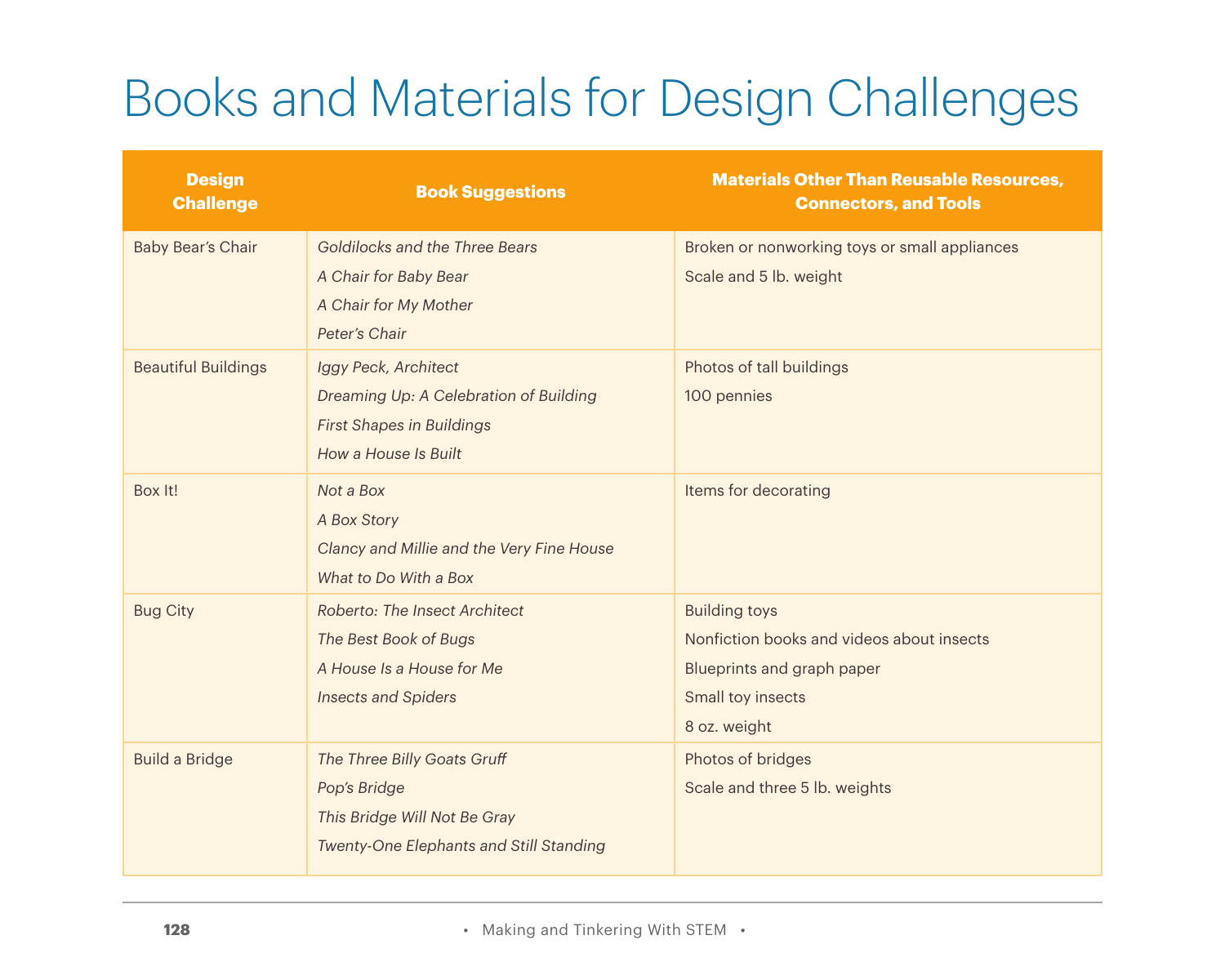## Books and Materials for Design Challenges

| <b>Design</b><br><b>Challenge</b> | <b>Book Suggestions</b>                                                                                                    | <b>Materials Other Than Reusable Resources,</b><br><b>Connectors, and Tools</b>                                                      |
|-----------------------------------|----------------------------------------------------------------------------------------------------------------------------|--------------------------------------------------------------------------------------------------------------------------------------|
| Baby Bear's Chair                 | Goldilocks and the Three Bears<br>A Chair for Baby Bear                                                                    | Broken or nonworking toys or small appliances<br>Scale and 5 lb. weight                                                              |
|                                   | A Chair for My Mother<br>Peter's Chair                                                                                     |                                                                                                                                      |
| <b>Beautiful Buildings</b>        | Iggy Peck, Architect<br>Dreaming Up: A Celebration of Building<br><b>First Shapes in Buildings</b><br>How a House Is Built | Photos of tall buildings<br>100 pennies                                                                                              |
| Box It!                           | Not a Box<br>A Box Story<br>Clancy and Millie and the Very Fine House<br>What to Do With a Box                             | Items for decorating                                                                                                                 |
| <b>Bug City</b>                   | Roberto: The Insect Architect<br>The Best Book of Bugs<br>A House Is a House for Me<br><b>Insects and Spiders</b>          | <b>Building toys</b><br>Nonfiction books and videos about insects<br>Blueprints and graph paper<br>Small toy insects<br>8 oz. weight |
| <b>Build a Bridge</b>             | The Three Billy Goats Gruff<br>Pop's Bridge<br>This Bridge Will Not Be Gray<br>Twenty-One Elephants and Still Standing     | Photos of bridges<br>Scale and three 5 lb. weights                                                                                   |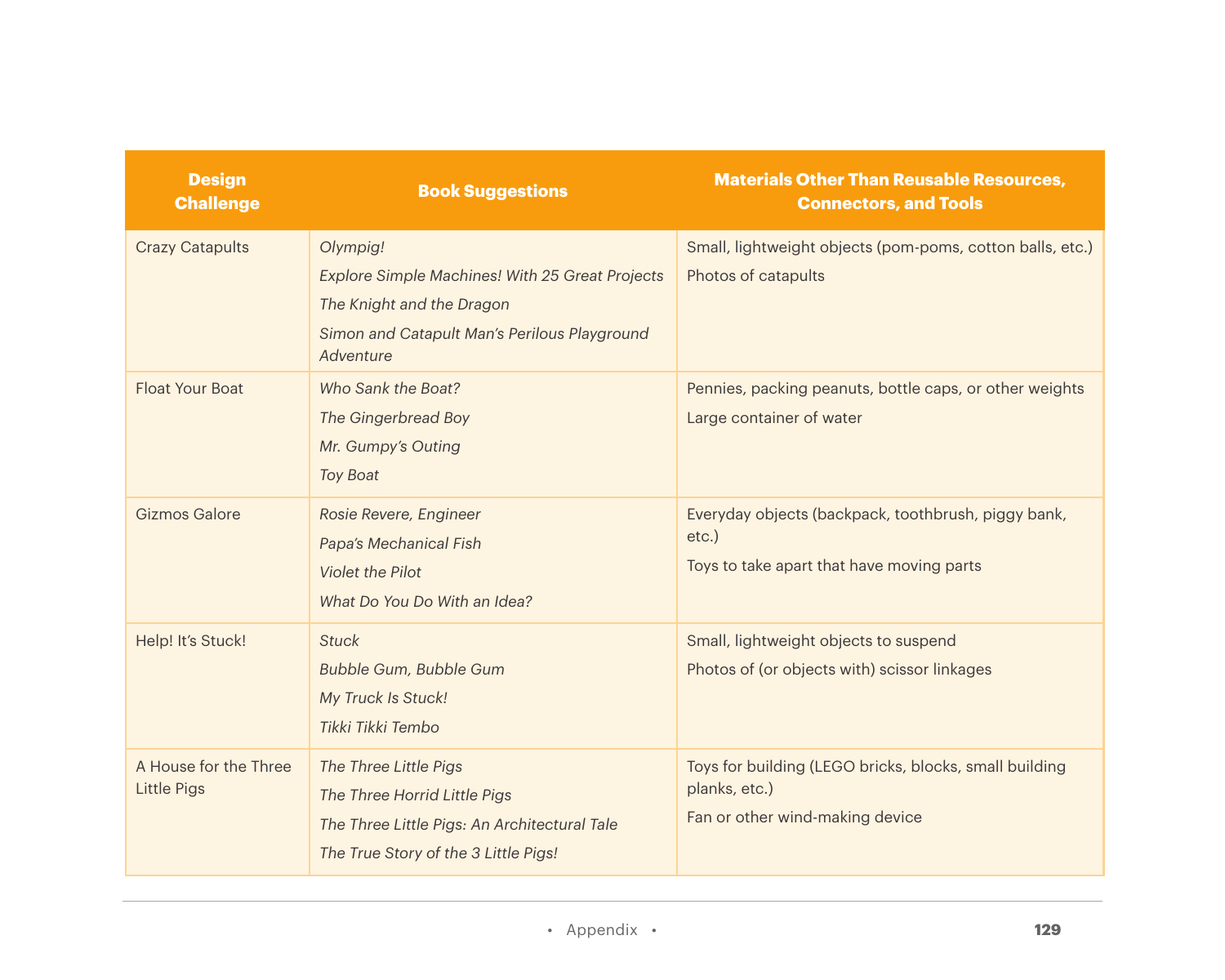| <b>Design</b><br><b>Challenge</b>           | <b>Book Suggestions</b>                                                                                                                               | <b>Materials Other Than Reusable Resources,</b><br><b>Connectors, and Tools</b>                              |
|---------------------------------------------|-------------------------------------------------------------------------------------------------------------------------------------------------------|--------------------------------------------------------------------------------------------------------------|
| <b>Crazy Catapults</b>                      | Olympig!<br>Explore Simple Machines! With 25 Great Projects<br>The Knight and the Dragon<br>Simon and Catapult Man's Perilous Playground<br>Adventure | Small, lightweight objects (pom-poms, cotton balls, etc.)<br>Photos of catapults                             |
| <b>Float Your Boat</b>                      | Who Sank the Boat?<br>The Gingerbread Boy<br>Mr. Gumpy's Outing<br><b>Toy Boat</b>                                                                    | Pennies, packing peanuts, bottle caps, or other weights<br>Large container of water                          |
| Gizmos Galore                               | Rosie Revere, Engineer<br>Papa's Mechanical Fish<br>Violet the Pilot<br>What Do You Do With an Idea?                                                  | Everyday objects (backpack, toothbrush, piggy bank,<br>$etc.$ )<br>Toys to take apart that have moving parts |
| Help! It's Stuck!                           | <b>Stuck</b><br>Bubble Gum, Bubble Gum<br>My Truck Is Stuck!<br>Tikki Tikki Tembo                                                                     | Small, lightweight objects to suspend<br>Photos of (or objects with) scissor linkages                        |
| A House for the Three<br><b>Little Pigs</b> | The Three Little Pigs<br>The Three Horrid Little Pigs<br>The Three Little Pigs: An Architectural Tale<br>The True Story of the 3 Little Pigs!         | Toys for building (LEGO bricks, blocks, small building<br>planks, etc.)<br>Fan or other wind-making device   |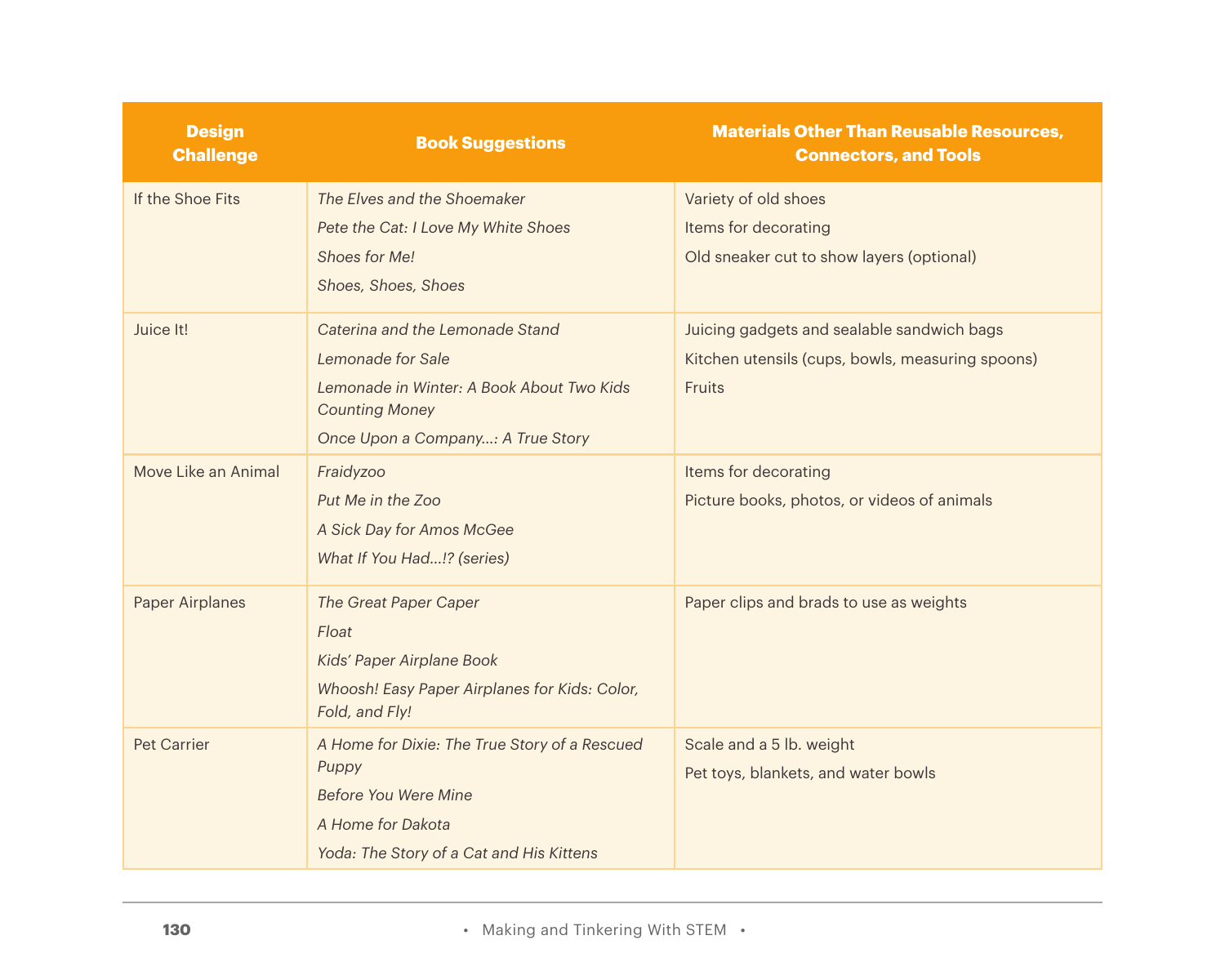| <b>Design</b><br><b>Challenge</b> | <b>Book Suggestions</b>                                                                                                                                         | <b>Materials Other Than Reusable Resources,</b><br><b>Connectors, and Tools</b>                          |
|-----------------------------------|-----------------------------------------------------------------------------------------------------------------------------------------------------------------|----------------------------------------------------------------------------------------------------------|
| If the Shoe Fits                  | The Elves and the Shoemaker<br>Pete the Cat: I Love My White Shoes<br>Shoes for Me!<br>Shoes, Shoes, Shoes                                                      | Variety of old shoes<br>Items for decorating<br>Old sneaker cut to show layers (optional)                |
| Juice It!                         | Caterina and the Lemonade Stand<br>Lemonade for Sale<br>Lemonade in Winter: A Book About Two Kids<br><b>Counting Money</b><br>Once Upon a Company: A True Story | Juicing gadgets and sealable sandwich bags<br>Kitchen utensils (cups, bowls, measuring spoons)<br>Fruits |
| Move Like an Animal               | Fraidyzoo<br>Put Me in the Zoo<br>A Sick Day for Amos McGee<br>What If You Had!? (series)                                                                       | Items for decorating<br>Picture books, photos, or videos of animals                                      |
| <b>Paper Airplanes</b>            | The Great Paper Caper<br>Float<br>Kids' Paper Airplane Book<br>Whoosh! Easy Paper Airplanes for Kids: Color,<br>Fold, and Fly!                                  | Paper clips and brads to use as weights                                                                  |
| <b>Pet Carrier</b>                | A Home for Dixie: The True Story of a Rescued<br>Puppy<br>Before You Were Mine<br>A Home for Dakota<br>Yoda: The Story of a Cat and His Kittens                 | Scale and a 5 lb. weight<br>Pet toys, blankets, and water bowls                                          |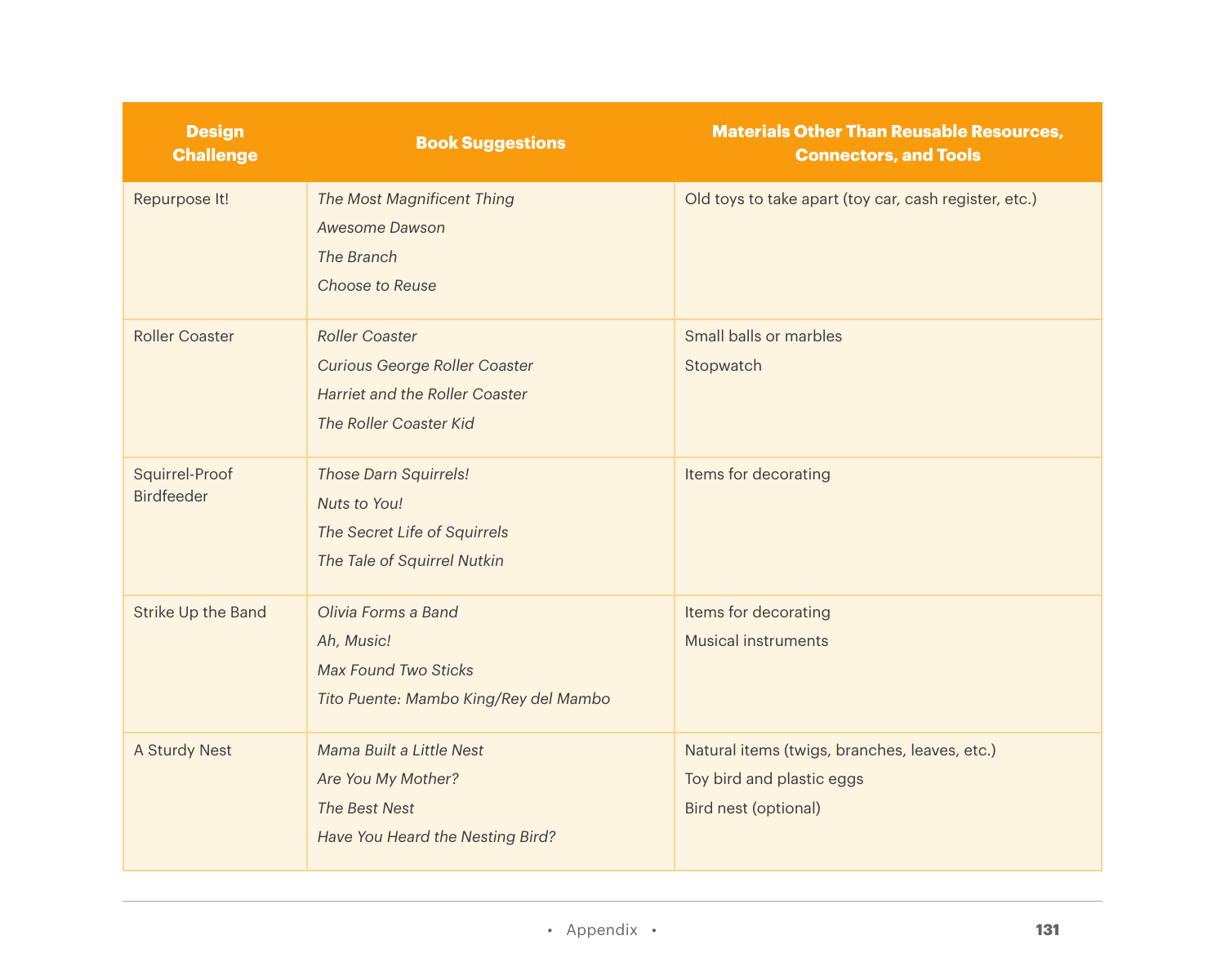| <b>Design</b><br><b>Challenge</b>   | <b>Book Suggestions</b>                                                                                                          | <b>Materials Other Than Reusable Resources,</b><br><b>Connectors, and Tools</b>                    |
|-------------------------------------|----------------------------------------------------------------------------------------------------------------------------------|----------------------------------------------------------------------------------------------------|
| Repurpose It!                       | The Most Magnificent Thing<br>Awesome Dawson<br>The Branch<br>Choose to Reuse                                                    | Old toys to take apart (toy car, cash register, etc.)                                              |
| Roller Coaster                      | <b>Roller Coaster</b><br><b>Curious George Roller Coaster</b><br><b>Harriet and the Roller Coaster</b><br>The Roller Coaster Kid | Small balls or marbles<br>Stopwatch                                                                |
| Squirrel-Proof<br><b>Birdfeeder</b> | <b>Those Darn Squirrels!</b><br>Nuts to You!<br>The Secret Life of Squirrels<br>The Tale of Squirrel Nutkin                      | Items for decorating                                                                               |
| Strike Up the Band                  | Olivia Forms a Band<br>Ah, Music!<br><b>Max Found Two Sticks</b><br>Tito Puente: Mambo King/Rey del Mambo                        | Items for decorating<br><b>Musical instruments</b>                                                 |
| A Sturdy Nest                       | Mama Built a Little Nest<br>Are You My Mother?<br>The Best Nest<br>Have You Heard the Nesting Bird?                              | Natural items (twigs, branches, leaves, etc.)<br>Toy bird and plastic eggs<br>Bird nest (optional) |